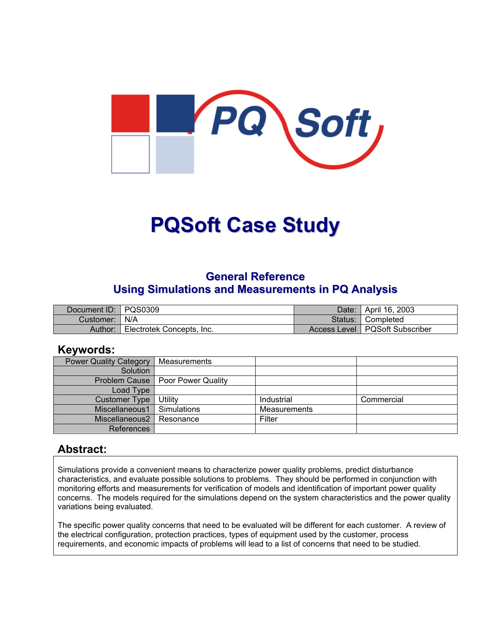

# **PQSoft Case Study**

## **General Reference Using Simulations and Measurements in PQ Analysis**

| Document ID: PQS0309 |                           | Date:   April 16, 2003           |
|----------------------|---------------------------|----------------------------------|
| Customer:   N/A      |                           | Status: Completed                |
| Author:              | Electrotek Concepts, Inc. | Access Level   PQSoft Subscriber |

### **Keywords:**

| <b>Power Quality Category</b> | Measurements                       |              |            |
|-------------------------------|------------------------------------|--------------|------------|
| Solution                      |                                    |              |            |
|                               | Problem Cause   Poor Power Quality |              |            |
| Load Type                     |                                    |              |            |
| <b>Customer Type</b>          | Utility                            | Industrial   | Commercial |
| Miscellaneous1                | Simulations                        | Measurements |            |
| Miscellaneous2                | l Resonance                        | Filter       |            |
| References                    |                                    |              |            |

## **Abstract:**

Simulations provide a convenient means to characterize power quality problems, predict disturbance characteristics, and evaluate possible solutions to problems. They should be performed in conjunction with monitoring efforts and measurements for verification of models and identification of important power quality concerns. The models required for the simulations depend on the system characteristics and the power quality variations being evaluated.

The specific power quality concerns that need to be evaluated will be different for each customer. A review of the electrical configuration, protection practices, types of equipment used by the customer, process requirements, and economic impacts of problems will lead to a list of concerns that need to be studied.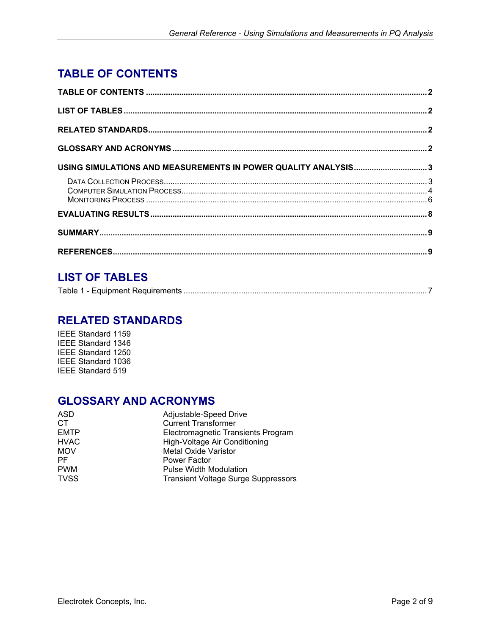# <span id="page-1-0"></span>**TABLE OF CONTENTS**

| USING SIMULATIONS AND MEASUREMENTS IN POWER QUALITY ANALYSIS3 |  |
|---------------------------------------------------------------|--|
|                                                               |  |
|                                                               |  |
|                                                               |  |
|                                                               |  |

# **LIST OF TABLES**

|--|

## **RELATED STANDARDS**

IEEE Standard 1159 IEEE Standard 1346 IEEE Standard 1250 IEEE Standard 1036 IEEE Standard 519

# **GLOSSARY AND ACRONYMS**

| ASD         | Adjustable-Speed Drive                     |  |
|-------------|--------------------------------------------|--|
| CT.         | <b>Current Transformer</b>                 |  |
| <b>EMTP</b> | Electromagnetic Transients Program         |  |
| <b>HVAC</b> | High-Voltage Air Conditioning              |  |
| <b>MOV</b>  | <b>Metal Oxide Varistor</b>                |  |
| PF.         | Power Factor                               |  |
| <b>PWM</b>  | <b>Pulse Width Modulation</b>              |  |
| <b>TVSS</b> | <b>Transient Voltage Surge Suppressors</b> |  |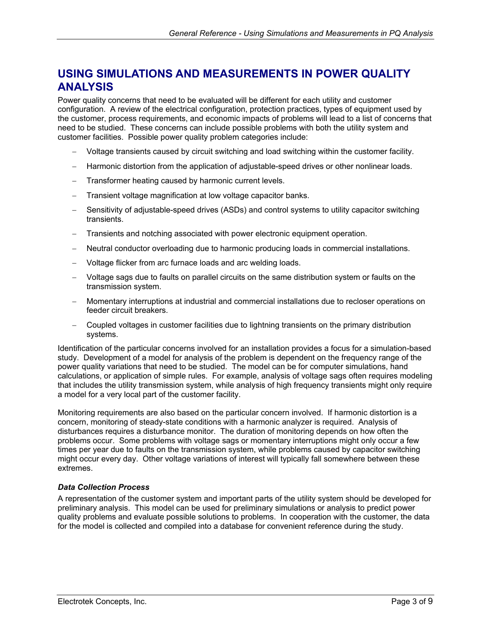# <span id="page-2-0"></span>**USING SIMULATIONS AND MEASUREMENTS IN POWER QUALITY ANALYSIS**

Power quality concerns that need to be evaluated will be different for each utility and customer configuration. A review of the electrical configuration, protection practices, types of equipment used by the customer, process requirements, and economic impacts of problems will lead to a list of concerns that need to be studied. These concerns can include possible problems with both the utility system and customer facilities. Possible power quality problem categories include:

- − Voltage transients caused by circuit switching and load switching within the customer facility.
- − Harmonic distortion from the application of adjustable-speed drives or other nonlinear loads.
- Transformer heating caused by harmonic current levels.
- Transient voltage magnification at low voltage capacitor banks.
- Sensitivity of adjustable-speed drives (ASDs) and control systems to utility capacitor switching transients.
- − Transients and notching associated with power electronic equipment operation.
- − Neutral conductor overloading due to harmonic producing loads in commercial installations.
- − Voltage flicker from arc furnace loads and arc welding loads.
- − Voltage sags due to faults on parallel circuits on the same distribution system or faults on the transmission system.
- − Momentary interruptions at industrial and commercial installations due to recloser operations on feeder circuit breakers.
- − Coupled voltages in customer facilities due to lightning transients on the primary distribution systems.

Identification of the particular concerns involved for an installation provides a focus for a simulation-based study. Development of a model for analysis of the problem is dependent on the frequency range of the power quality variations that need to be studied. The model can be for computer simulations, hand calculations, or application of simple rules. For example, analysis of voltage sags often requires modeling that includes the utility transmission system, while analysis of high frequency transients might only require a model for a very local part of the customer facility.

Monitoring requirements are also based on the particular concern involved. If harmonic distortion is a concern, monitoring of steady-state conditions with a harmonic analyzer is required. Analysis of disturbances requires a disturbance monitor. The duration of monitoring depends on how often the problems occur. Some problems with voltage sags or momentary interruptions might only occur a few times per year due to faults on the transmission system, while problems caused by capacitor switching might occur every day. Other voltage variations of interest will typically fall somewhere between these extremes.

#### *Data Collection Process*

A representation of the customer system and important parts of the utility system should be developed for preliminary analysis. This model can be used for preliminary simulations or analysis to predict power quality problems and evaluate possible solutions to problems. In cooperation with the customer, the data for the model is collected and compiled into a database for convenient reference during the study.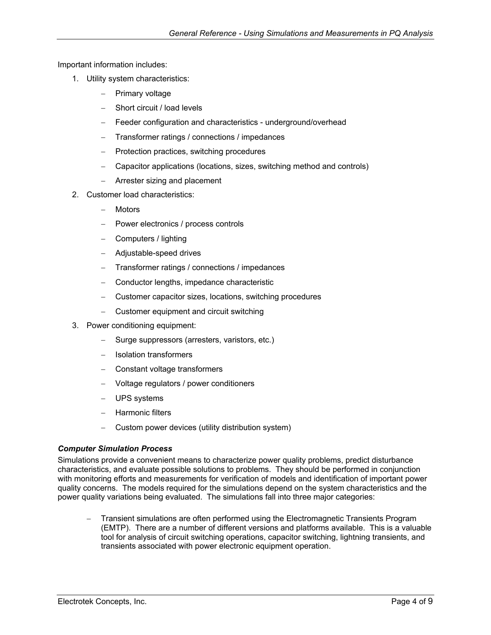<span id="page-3-0"></span>Important information includes:

- 1. Utility system characteristics:
	- − Primary voltage
	- − Short circuit / load levels
	- Feeder configuration and characteristics underground/overhead
	- − Transformer ratings / connections / impedances
	- − Protection practices, switching procedures
	- − Capacitor applications (locations, sizes, switching method and controls)
	- − Arrester sizing and placement
- 2. Customer load characteristics:
	- − Motors
	- − Power electronics / process controls
	- − Computers / lighting
	- − Adjustable-speed drives
	- − Transformer ratings / connections / impedances
	- − Conductor lengths, impedance characteristic
	- − Customer capacitor sizes, locations, switching procedures
	- − Customer equipment and circuit switching
- 3. Power conditioning equipment:
	- − Surge suppressors (arresters, varistors, etc.)
	- − Isolation transformers
	- − Constant voltage transformers
	- − Voltage regulators / power conditioners
	- − UPS systems
	- − Harmonic filters
	- − Custom power devices (utility distribution system)

#### *Computer Simulation Process*

Simulations provide a convenient means to characterize power quality problems, predict disturbance characteristics, and evaluate possible solutions to problems. They should be performed in conjunction with monitoring efforts and measurements for verification of models and identification of important power quality concerns. The models required for the simulations depend on the system characteristics and the power quality variations being evaluated. The simulations fall into three major categories:

− Transient simulations are often performed using the Electromagnetic Transients Program (EMTP). There are a number of different versions and platforms available. This is a valuable tool for analysis of circuit switching operations, capacitor switching, lightning transients, and transients associated with power electronic equipment operation.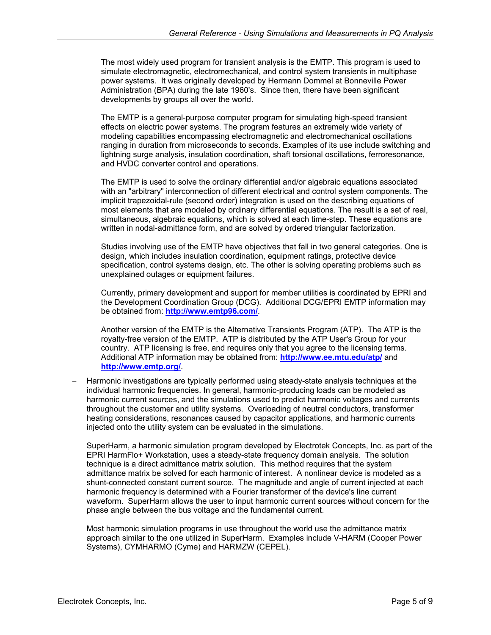The most widely used program for transient analysis is the EMTP. This program is used to simulate electromagnetic, electromechanical, and control system transients in multiphase power systems. It was originally developed by Hermann Dommel at Bonneville Power Administration (BPA) during the late 1960's. Since then, there have been significant developments by groups all over the world.

The EMTP is a general-purpose computer program for simulating high-speed transient effects on electric power systems. The program features an extremely wide variety of modeling capabilities encompassing electromagnetic and electromechanical oscillations ranging in duration from microseconds to seconds. Examples of its use include switching and lightning surge analysis, insulation coordination, shaft torsional oscillations, ferroresonance, and HVDC converter control and operations.

The EMTP is used to solve the ordinary differential and/or algebraic equations associated with an "arbitrary" interconnection of different electrical and control system components. The implicit trapezoidal-rule (second order) integration is used on the describing equations of most elements that are modeled by ordinary differential equations. The result is a set of real, simultaneous, algebraic equations, which is solved at each time-step. These equations are written in nodal-admittance form, and are solved by ordered triangular factorization.

Studies involving use of the EMTP have objectives that fall in two general categories. One is design, which includes insulation coordination, equipment ratings, protective device specification, control systems design, etc. The other is solving operating problems such as unexplained outages or equipment failures.

Currently, primary development and support for member utilities is coordinated by EPRI and the Development Coordination Group (DCG). Additional DCG/EPRI EMTP information may be obtained from: **http://www.emtp96.com/**.

Another version of the EMTP is the Alternative Transients Program (ATP). The ATP is the royalty-free version of the EMTP. ATP is distributed by the ATP User's Group for your country. ATP licensing is free, and requires only that you agree to the licensing terms. Additional ATP information may be obtained from: **<http://www.ee.mtu.edu/atp/>** and **<http://www.emtp.org/>**.

Harmonic investigations are typically performed using steady-state analysis techniques at the individual harmonic frequencies. In general, harmonic-producing loads can be modeled as harmonic current sources, and the simulations used to predict harmonic voltages and currents throughout the customer and utility systems. Overloading of neutral conductors, transformer heating considerations, resonances caused by capacitor applications, and harmonic currents injected onto the utility system can be evaluated in the simulations.

SuperHarm, a harmonic simulation program developed by Electrotek Concepts, Inc. as part of the EPRI HarmFlo+ Workstation, uses a steady-state frequency domain analysis. The solution technique is a direct admittance matrix solution. This method requires that the system admittance matrix be solved for each harmonic of interest. A nonlinear device is modeled as a shunt-connected constant current source. The magnitude and angle of current injected at each harmonic frequency is determined with a Fourier transformer of the device's line current waveform. SuperHarm allows the user to input harmonic current sources without concern for the phase angle between the bus voltage and the fundamental current.

Most harmonic simulation programs in use throughout the world use the admittance matrix approach similar to the one utilized in SuperHarm. Examples include V-HARM (Cooper Power Systems), CYMHARMO (Cyme) and HARMZW (CEPEL).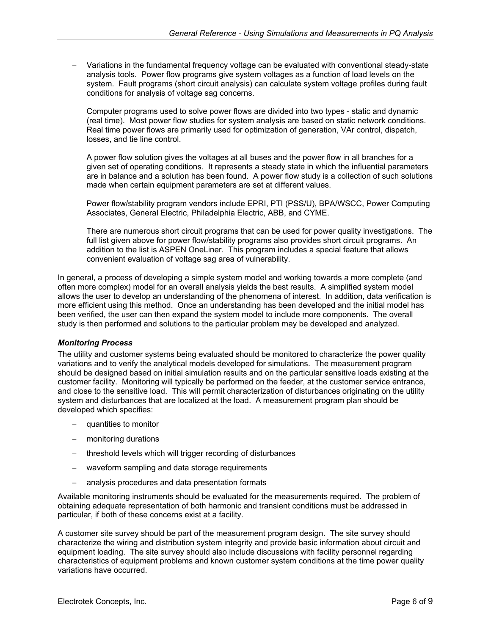<span id="page-5-0"></span>− Variations in the fundamental frequency voltage can be evaluated with conventional steady-state analysis tools. Power flow programs give system voltages as a function of load levels on the system. Fault programs (short circuit analysis) can calculate system voltage profiles during fault conditions for analysis of voltage sag concerns.

Computer programs used to solve power flows are divided into two types - static and dynamic (real time). Most power flow studies for system analysis are based on static network conditions. Real time power flows are primarily used for optimization of generation, VAr control, dispatch, losses, and tie line control.

A power flow solution gives the voltages at all buses and the power flow in all branches for a given set of operating conditions. It represents a steady state in which the influential parameters are in balance and a solution has been found. A power flow study is a collection of such solutions made when certain equipment parameters are set at different values.

Power flow/stability program vendors include EPRI, PTI (PSS/U), BPA/WSCC, Power Computing Associates, General Electric, Philadelphia Electric, ABB, and CYME.

There are numerous short circuit programs that can be used for power quality investigations. The full list given above for power flow/stability programs also provides short circuit programs. An addition to the list is ASPEN OneLiner. This program includes a special feature that allows convenient evaluation of voltage sag area of vulnerability.

In general, a process of developing a simple system model and working towards a more complete (and often more complex) model for an overall analysis yields the best results. A simplified system model allows the user to develop an understanding of the phenomena of interest. In addition, data verification is more efficient using this method. Once an understanding has been developed and the initial model has been verified, the user can then expand the system model to include more components. The overall study is then performed and solutions to the particular problem may be developed and analyzed.

#### *Monitoring Process*

The utility and customer systems being evaluated should be monitored to characterize the power quality variations and to verify the analytical models developed for simulations. The measurement program should be designed based on initial simulation results and on the particular sensitive loads existing at the customer facility. Monitoring will typically be performed on the feeder, at the customer service entrance, and close to the sensitive load. This will permit characterization of disturbances originating on the utility system and disturbances that are localized at the load. A measurement program plan should be developed which specifies:

- − quantities to monitor
- − monitoring durations
- − threshold levels which will trigger recording of disturbances
- waveform sampling and data storage requirements
- − analysis procedures and data presentation formats

Available monitoring instruments should be evaluated for the measurements required. The problem of obtaining adequate representation of both harmonic and transient conditions must be addressed in particular, if both of these concerns exist at a facility.

A customer site survey should be part of the measurement program design. The site survey should characterize the wiring and distribution system integrity and provide basic information about circuit and equipment loading. The site survey should also include discussions with facility personnel regarding characteristics of equipment problems and known customer system conditions at the time power quality variations have occurred.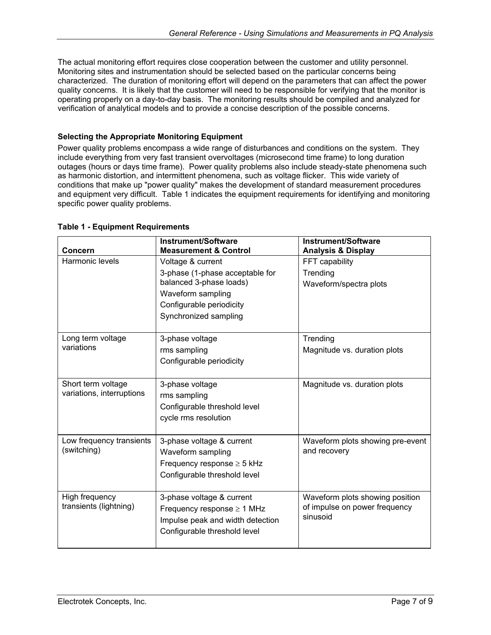<span id="page-6-0"></span>The actual monitoring effort requires close cooperation between the customer and utility personnel. Monitoring sites and instrumentation should be selected based on the particular concerns being characterized. The duration of monitoring effort will depend on the parameters that can affect the power quality concerns. It is likely that the customer will need to be responsible for verifying that the monitor is operating properly on a day-to-day basis. The monitoring results should be compiled and analyzed for verification of analytical models and to provide a concise description of the possible concerns.

#### **Selecting the Appropriate Monitoring Equipment**

Power quality problems encompass a wide range of disturbances and conditions on the system. They include everything from very fast transient overvoltages (microsecond time frame) to long duration outages (hours or days time frame). Power quality problems also include steady-state phenomena such as harmonic distortion, and intermittent phenomena, such as voltage flicker. This wide variety of conditions that make up "power quality" makes the development of standard measurement procedures and equipment very difficult. [Table 1](#page-6-1) indicates the equipment requirements for identifying and monitoring specific power quality problems.

| <b>Concern</b>                                  | <b>Instrument/Software</b><br><b>Measurement &amp; Control</b>                                                                                            | Instrument/Software<br><b>Analysis &amp; Display</b>                         |
|-------------------------------------------------|-----------------------------------------------------------------------------------------------------------------------------------------------------------|------------------------------------------------------------------------------|
| Harmonic levels                                 | Voltage & current<br>3-phase (1-phase acceptable for<br>balanced 3-phase loads)<br>Waveform sampling<br>Configurable periodicity<br>Synchronized sampling | FFT capability<br>Trending<br>Waveform/spectra plots                         |
| Long term voltage<br>variations                 | 3-phase voltage<br>rms sampling<br>Configurable periodicity                                                                                               | Trending<br>Magnitude vs. duration plots                                     |
| Short term voltage<br>variations, interruptions | 3-phase voltage<br>rms sampling<br>Configurable threshold level<br>cycle rms resolution                                                                   | Magnitude vs. duration plots                                                 |
| Low frequency transients<br>(switching)         | 3-phase voltage & current<br>Waveform sampling<br>Frequency response $\geq 5$ kHz<br>Configurable threshold level                                         | Waveform plots showing pre-event<br>and recovery                             |
| High frequency<br>transients (lightning)        | 3-phase voltage & current<br>Frequency response $\geq 1$ MHz<br>Impulse peak and width detection<br>Configurable threshold level                          | Waveform plots showing position<br>of impulse on power frequency<br>sinusoid |

#### <span id="page-6-1"></span>**Table 1 - Equipment Requirements**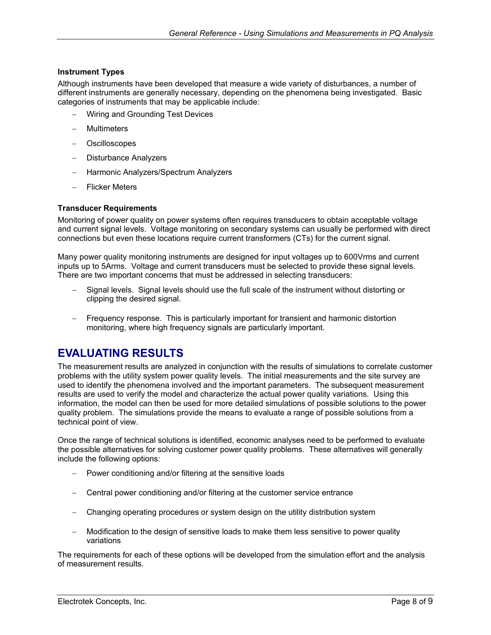#### <span id="page-7-0"></span>**Instrument Types**

Although instruments have been developed that measure a wide variety of disturbances, a number of different instruments are generally necessary, depending on the phenomena being investigated. Basic categories of instruments that may be applicable include:

- − Wiring and Grounding Test Devices
- − Multimeters
- − Oscilloscopes
- − Disturbance Analyzers
- − Harmonic Analyzers/Spectrum Analyzers
- − Flicker Meters

#### **Transducer Requirements**

Monitoring of power quality on power systems often requires transducers to obtain acceptable voltage and current signal levels. Voltage monitoring on secondary systems can usually be performed with direct connections but even these locations require current transformers (CTs) for the current signal.

Many power quality monitoring instruments are designed for input voltages up to 600Vrms and current inputs up to 5Arms. Voltage and current transducers must be selected to provide these signal levels. There are two important concerns that must be addressed in selecting transducers:

- Signal levels. Signal levels should use the full scale of the instrument without distorting or clipping the desired signal.
- − Frequency response. This is particularly important for transient and harmonic distortion monitoring, where high frequency signals are particularly important.

## **EVALUATING RESULTS**

The measurement results are analyzed in conjunction with the results of simulations to correlate customer problems with the utility system power quality levels. The initial measurements and the site survey are used to identify the phenomena involved and the important parameters. The subsequent measurement results are used to verify the model and characterize the actual power quality variations. Using this information, the model can then be used for more detailed simulations of possible solutions to the power quality problem. The simulations provide the means to evaluate a range of possible solutions from a technical point of view.

Once the range of technical solutions is identified, economic analyses need to be performed to evaluate the possible alternatives for solving customer power quality problems. These alternatives will generally include the following options:

- Power conditioning and/or filtering at the sensitive loads
- − Central power conditioning and/or filtering at the customer service entrance
- − Changing operating procedures or system design on the utility distribution system
- − Modification to the design of sensitive loads to make them less sensitive to power quality variations

The requirements for each of these options will be developed from the simulation effort and the analysis of measurement results.